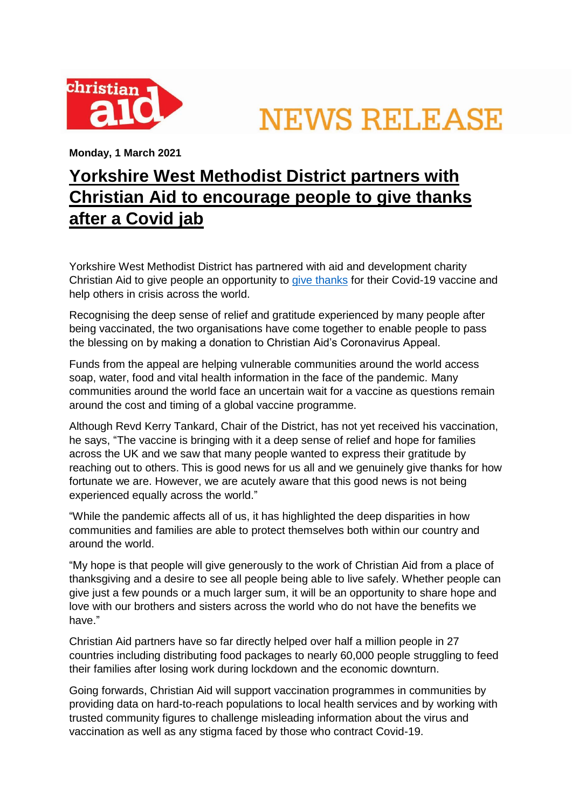

**NEWS RELEASE** 

**Monday, 1 March 2021**

## **Yorkshire West Methodist District partners with Christian Aid to encourage people to give thanks after a Covid jab**

Yorkshire West Methodist District has partnered with aid and development charity Christian Aid to give people an opportunity to [give thanks](https://events.tapsimple.org/online/christian-aid/yorkshirewestvaccineappeal) for their Covid-19 vaccine and help others in crisis across the world.

Recognising the deep sense of relief and gratitude experienced by many people after being vaccinated, the two organisations have come together to enable people to pass the blessing on by making a donation to Christian Aid's Coronavirus Appeal.

Funds from the appeal are helping vulnerable communities around the world access soap, water, food and vital health information in the face of the pandemic. Many communities around the world face an uncertain wait for a vaccine as questions remain around the cost and timing of a global vaccine programme.

Although Revd Kerry Tankard, Chair of the District, has not yet received his vaccination, he says, "The vaccine is bringing with it a deep sense of relief and hope for families across the UK and we saw that many people wanted to express their gratitude by reaching out to others. This is good news for us all and we genuinely give thanks for how fortunate we are. However, we are acutely aware that this good news is not being experienced equally across the world."

"While the pandemic affects all of us, it has highlighted the deep disparities in how communities and families are able to protect themselves both within our country and around the world.

"My hope is that people will give generously to the work of Christian Aid from a place of thanksgiving and a desire to see all people being able to live safely. Whether people can give just a few pounds or a much larger sum, it will be an opportunity to share hope and love with our brothers and sisters across the world who do not have the benefits we have."

Christian Aid partners have so far directly helped over half a million people in 27 countries including distributing food packages to nearly 60,000 people struggling to feed their families after losing work during lockdown and the economic downturn.

Going forwards, Christian Aid will support vaccination programmes in communities by providing data on hard-to-reach populations to local health services and by working with trusted community figures to challenge misleading information about the virus and vaccination as well as any stigma faced by those who contract Covid-19.